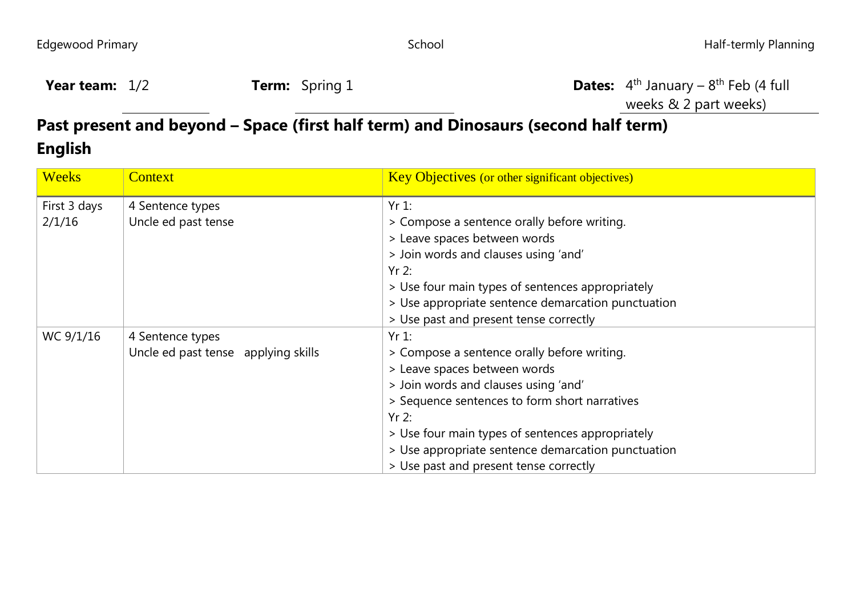| <b>Year team:</b> $1/2$ | <b>Term:</b> Spring 1 | <b>Dates:</b> $4th$ |
|-------------------------|-----------------------|---------------------|
|-------------------------|-----------------------|---------------------|

<sup>th</sup> January – 8<sup>th</sup> Feb (4 full weeks & 2 part weeks)

## **Past present and beyond – Space (first half term) and Dinosaurs (second half term) English**

| <b>Weeks</b> | <b>Context</b>                      | <b>Key Objectives (or other significant objectives)</b> |
|--------------|-------------------------------------|---------------------------------------------------------|
| First 3 days | 4 Sentence types                    | $Yr1$ :                                                 |
| 2/1/16       | Uncle ed past tense                 | > Compose a sentence orally before writing.             |
|              |                                     | > Leave spaces between words                            |
|              |                                     | > Join words and clauses using 'and'                    |
|              |                                     | $Yr$ 2:                                                 |
|              |                                     | > Use four main types of sentences appropriately        |
|              |                                     | > Use appropriate sentence demarcation punctuation      |
|              |                                     | > Use past and present tense correctly                  |
| WC 9/1/16    | 4 Sentence types                    | $Yr1$ :                                                 |
|              | Uncle ed past tense applying skills | > Compose a sentence orally before writing.             |
|              |                                     | > Leave spaces between words                            |
|              |                                     | > Join words and clauses using 'and'                    |
|              |                                     | > Sequence sentences to form short narratives           |
|              |                                     | $Yr$ 2:                                                 |
|              |                                     | > Use four main types of sentences appropriately        |
|              |                                     | > Use appropriate sentence demarcation punctuation      |
|              |                                     | > Use past and present tense correctly                  |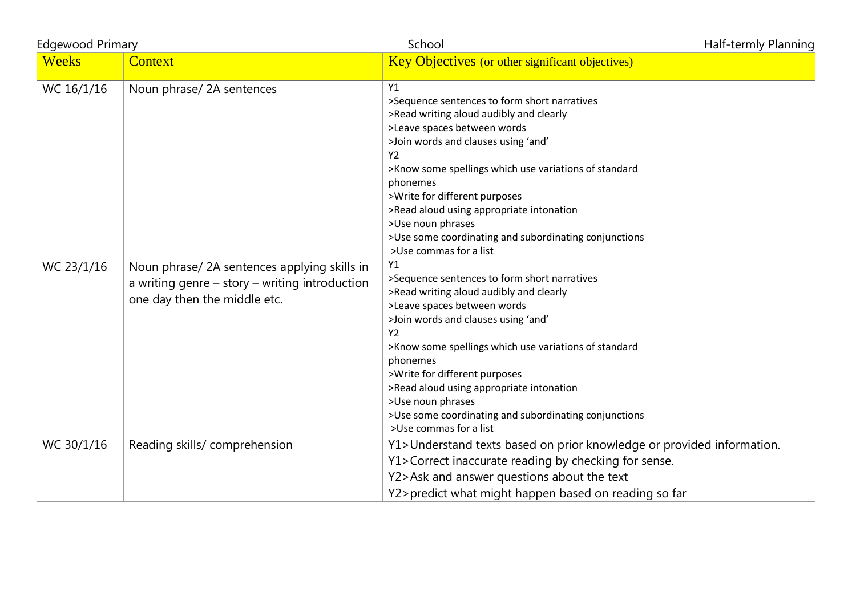| <b>Edgewood Primary</b> |                                                                                                                               | School                                                                                                                                                                                                                                                                                                                                                                                                                                          | Half-termly Planning |
|-------------------------|-------------------------------------------------------------------------------------------------------------------------------|-------------------------------------------------------------------------------------------------------------------------------------------------------------------------------------------------------------------------------------------------------------------------------------------------------------------------------------------------------------------------------------------------------------------------------------------------|----------------------|
| <b>Weeks</b>            | Context                                                                                                                       | Key Objectives (or other significant objectives)                                                                                                                                                                                                                                                                                                                                                                                                |                      |
| WC 16/1/16              | Noun phrase/ 2A sentences                                                                                                     | Y1<br>>Sequence sentences to form short narratives<br>>Read writing aloud audibly and clearly<br>>Leave spaces between words<br>>Join words and clauses using 'and'<br><b>Y2</b><br>>Know some spellings which use variations of standard<br>phonemes<br>>Write for different purposes<br>>Read aloud using appropriate intonation<br>>Use noun phrases<br>>Use some coordinating and subordinating conjunctions<br>>Use commas for a list      |                      |
| WC 23/1/16              | Noun phrase/2A sentences applying skills in<br>a writing genre - story - writing introduction<br>one day then the middle etc. | Y1<br>>Sequence sentences to form short narratives<br>>Read writing aloud audibly and clearly<br>>Leave spaces between words<br>>Join words and clauses using 'and'<br>Y <sub>2</sub><br>>Know some spellings which use variations of standard<br>phonemes<br>>Write for different purposes<br>>Read aloud using appropriate intonation<br>>Use noun phrases<br>>Use some coordinating and subordinating conjunctions<br>>Use commas for a list |                      |
| WC 30/1/16              | Reading skills/ comprehension                                                                                                 | Y1>Understand texts based on prior knowledge or provided information.<br>Y1>Correct inaccurate reading by checking for sense.<br>Y2>Ask and answer questions about the text<br>Y2>predict what might happen based on reading so far                                                                                                                                                                                                             |                      |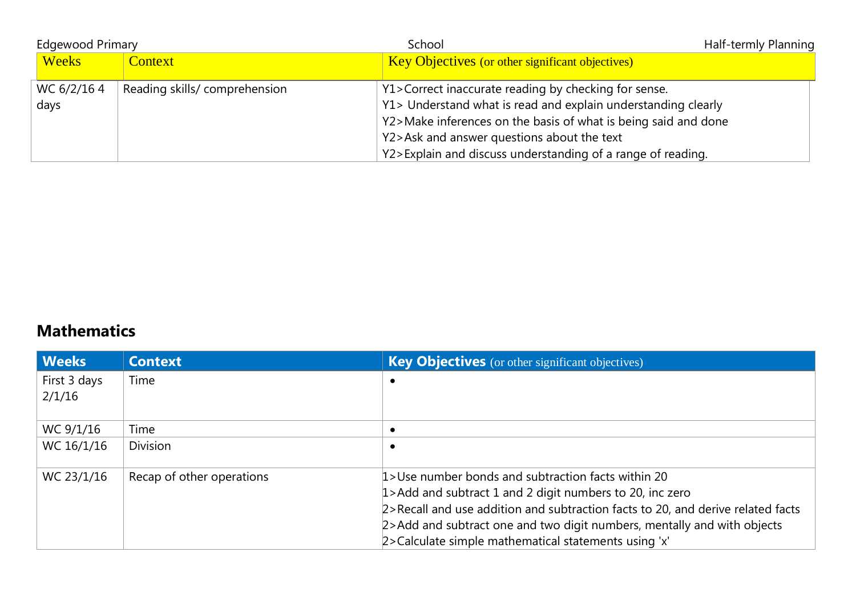| <b>Edgewood Primary</b> |                              | School                                                                                                                                                                                                                                                                                               | Half-termly Planning |
|-------------------------|------------------------------|------------------------------------------------------------------------------------------------------------------------------------------------------------------------------------------------------------------------------------------------------------------------------------------------------|----------------------|
| <b>Weeks</b>            | <b>Context</b>               | <b>Key Objectives</b> (or other significant objectives)                                                                                                                                                                                                                                              |                      |
| WC 6/2/164<br>days      | Reading skills/comprehension | Y1>Correct inaccurate reading by checking for sense.<br>Y1> Understand what is read and explain understanding clearly<br>Y2>Make inferences on the basis of what is being said and done<br>Y2>Ask and answer questions about the text<br>Y2>Explain and discuss understanding of a range of reading. |                      |

## **Mathematics**

| <b>Weeks</b> | <b>Context</b>            | <b>Key Objectives</b> (or other significant objectives)                         |
|--------------|---------------------------|---------------------------------------------------------------------------------|
| First 3 days | Time                      |                                                                                 |
| 2/1/16       |                           |                                                                                 |
|              |                           |                                                                                 |
| WC 9/1/16    | Time                      |                                                                                 |
| WC 16/1/16   | <b>Division</b>           |                                                                                 |
|              |                           |                                                                                 |
| WC 23/1/16   | Recap of other operations | 1>Use number bonds and subtraction facts within 20                              |
|              |                           | $1$ > Add and subtract 1 and 2 digit numbers to 20, inc zero                    |
|              |                           | 2>Recall and use addition and subtraction facts to 20, and derive related facts |
|              |                           | 2>Add and subtract one and two digit numbers, mentally and with objects         |
|              |                           | 2>Calculate simple mathematical statements using 'x'                            |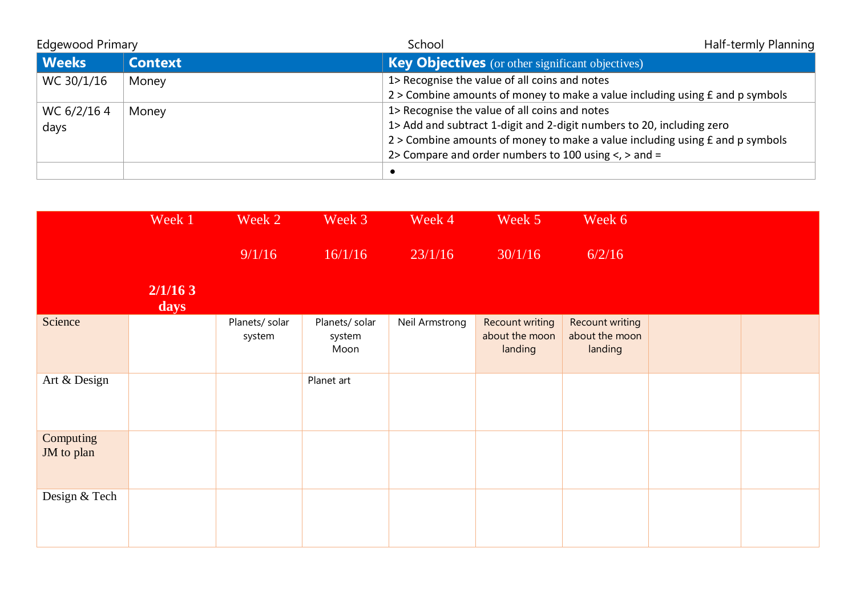| <b>Edgewood Primary</b> |                | School                                                                           | Half-termly Planning |
|-------------------------|----------------|----------------------------------------------------------------------------------|----------------------|
| Weeks                   | <b>Context</b> | <b>Key Objectives</b> (or other significant objectives)                          |                      |
| WC 30/1/16              | Money          | 1> Recognise the value of all coins and notes                                    |                      |
|                         |                | $2$ > Combine amounts of money to make a value including using $f$ and p symbols |                      |
| WC 6/2/164              | Money          | 1> Recognise the value of all coins and notes                                    |                      |
| days                    |                | 1> Add and subtract 1-digit and 2-digit numbers to 20, including zero            |                      |
|                         |                | 2 > Combine amounts of money to make a value including using £ and p symbols     |                      |
|                         |                | 2> Compare and order numbers to 100 using $\lt$ , > and =                        |                      |
|                         |                |                                                                                  |                      |

|                         | Week 1          | Week 2                   | Week 3                           | Week 4         | Week 5                                       | Week 6                                              |  |
|-------------------------|-----------------|--------------------------|----------------------------------|----------------|----------------------------------------------|-----------------------------------------------------|--|
|                         |                 | 9/1/16                   | 16/1/16                          | 23/1/16        | 30/1/16                                      | 6/2/16                                              |  |
|                         | 2/1/163<br>days |                          |                                  |                |                                              |                                                     |  |
| Science                 |                 | Planets/ solar<br>system | Planets/ solar<br>system<br>Moon | Neil Armstrong | Recount writing<br>about the moon<br>landing | <b>Recount writing</b><br>about the moon<br>landing |  |
| Art & Design            |                 |                          | Planet art                       |                |                                              |                                                     |  |
| Computing<br>JM to plan |                 |                          |                                  |                |                                              |                                                     |  |
| Design & Tech           |                 |                          |                                  |                |                                              |                                                     |  |